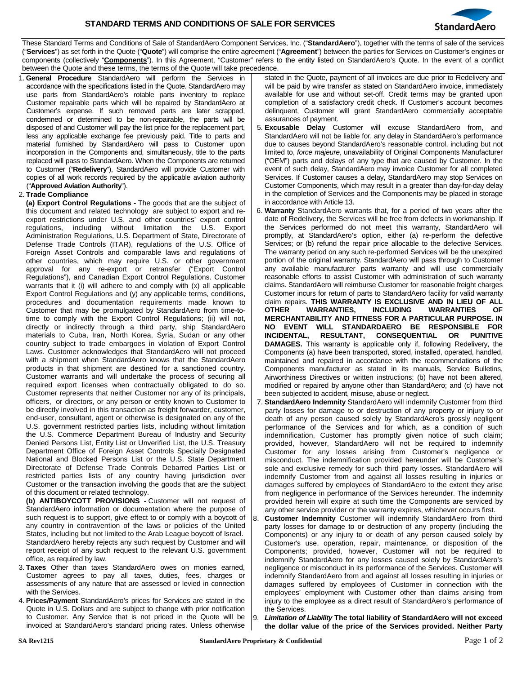

These Standard Terms and Conditions of Sale of StandardAero Component Services, Inc. ("**StandardAero**"), together with the terms of sale of the services ("**Services**") as set forth in the Quote ("**Quote**") will comprise the entire agreement ("**Agreement**") between the parties for Services on Customer's engines or components (collectively "**Components**"). In this Agreement, "Customer" refers to the entity listed on StandardAero's Quote. In the event of a conflict between the Quote and these terms, the terms of the Quote will take precedence.

1. **General Procedure** StandardAero will perform the Services in accordance with the specifications listed in the Quote. StandardAero may use parts from StandardAero's rotable parts inventory to replace Customer repairable parts which will be repaired by StandardAero at Customer's expense. If such removed parts are later scrapped, condemned or determined to be non-repairable, the parts will be disposed of and Customer will pay the list price for the replacement part, less any applicable exchange fee previously paid. Title to parts and material furnished by StandardAero will pass to Customer upon incorporation in the Components and, simultaneously, title to the parts replaced will pass to StandardAero. When the Components are returned to Customer ("**Redelivery**"), StandardAero will provide Customer with copies of all work records required by the applicable aviation authority ("**Approved Aviation Authority**").

## 2. **Trade Compliance**

**(a) Export Control Regulations -** The goods that are the subject of this document and related technology are subject to export and reexport restrictions under U.S. and other countries' export control regulations, including without limitation the U.S. Export Administration Regulations, U.S. Department of State, Directorate of Defense Trade Controls (ITAR), regulations of the U.S. Office of Foreign Asset Controls and comparable laws and regulations of other countries, which may require U.S. or other government approval for any re-export or retransfer ("Export Control Regulations"), and Canadian Export Control Regulations. Customer warrants that it (i) will adhere to and comply with (x) all applicable Export Control Regulations and (y) any applicable terms, conditions, procedures and documentation requirements made known to Customer that may be promulgated by StandardAero from time-totime to comply with the Export Control Regulations; (ii) will not, directly or indirectly through a third party, ship StandardAero materials to Cuba, Iran, North Korea, Syria, Sudan or any other country subject to trade embargoes in violation of Export Control Laws. Customer acknowledges that StandardAero will not proceed with a shipment when StandardAero knows that the StandardAero products in that shipment are destined for a sanctioned country. Customer warrants and will undertake the process of securing all required export licenses when contractually obligated to do so. Customer represents that neither Customer nor any of its principals, officers, or directors, or any person or entity known to Customer to be directly involved in this transaction as freight forwarder, customer, end-user, consultant, agent or otherwise is designated on any of the U.S. government restricted parties lists, including without limitation the U.S. Commerce Department Bureau of Industry and Security Denied Persons List, Entity List or Unverified List, the U.S. Treasury Department Office of Foreign Asset Controls Specially Designated National and Blocked Persons List or the U.S. State Department Directorate of Defense Trade Controls Debarred Parties List or restricted parties lists of any country having jurisdiction over Customer or the transaction involving the goods that are the subject of this document or related technology.

**(b) ANTIBOYCOTT PROVISIONS -** Customer will not request of StandardAero information or documentation where the purpose of such request is to support, give effect to or comply with a boycott of any country in contravention of the laws or policies of the United States, including but not limited to the Arab League boycott of Israel. StandardAero hereby rejects any such request by Customer and will report receipt of any such request to the relevant U.S. government office, as required by law.

- 3. **Taxes** Other than taxes StandardAero owes on monies earned, Customer agrees to pay all taxes, duties, fees, charges or assessments of any nature that are assessed or levied in connection with the Services.
- 4. **Prices/Payment** StandardAero's prices for Services are stated in the Quote in U.S. Dollars and are subject to change with prior notification to Customer. Any Service that is not priced in the Quote will be invoiced at StandardAero's standard pricing rates. Unless otherwise

stated in the Quote, payment of all invoices are due prior to Redelivery and will be paid by wire transfer as stated on StandardAero invoice, immediately available for use and without set-off. Credit terms may be granted upon completion of a satisfactory credit check. If Customer's account becomes delinquent, Customer will grant StandardAero commercially acceptable assurances of payment.

- 5. **Excusable Delay** Customer will excuse StandardAero from, and StandardAero will not be liable for, any delay in StandardAero's performance due to causes beyond StandardAero's reasonable control, including but not limited to, *force majeure*, unavailability of Original Components Manufacturer ("OEM") parts and delays of any type that are caused by Customer. In the event of such delay, StandardAero may invoice Customer for all completed Services. If Customer causes a delay, StandardAero may stop Services on Customer Components, which may result in a greater than day-for-day delay in the completion of Services and the Components may be placed in storage in accordance with Article 13.
- 6. **Warranty** StandardAero warrants that, for a period of two years after the date of Redelivery, the Services will be free from defects in workmanship. If the Services performed do not meet this warranty, StandardAero will promptly, at StandardAero's option, either (a) re-perform the defective Services; or (b) refund the repair price allocable to the defective Services. The warranty period on any such re-performed Services will be the unexpired portion of the original warranty. StandardAero will pass through to Customer any available manufacturer parts warranty and will use commercially reasonable efforts to assist Customer with administration of such warranty claims. StandardAero will reimburse Customer for reasonable freight charges Customer incurs for return of parts to StandardAero facility for valid warranty claim repairs. **THIS WARRANTY IS EXCLUSIVE AND IN LIEU OF ALL OTHER WARRANTIES, INCLUDING WARRANTIES OF MERCHANTABILITY AND FITNESS FOR A PARTICULAR PURPOSE. IN NO EVENT WILL STANDARDAERO BE RESPONSIBLE FOR**  INCIDENTAL, RESULTANT, CONSEQUENTIAL OR **DAMAGES.** This warranty is applicable only if, following Redelivery, the Components (a) have been transported, stored, installed, operated, handled, maintained and repaired in accordance with the recommendations of the Components manufacturer as stated in its manuals, Service Bulletins, Airworthiness Directives or written instructions; (b) have not been altered, modified or repaired by anyone other than StandardAero; and (c) have not been subjected to accident, misuse, abuse or neglect.
- 7. **StandardAero Indemnity** StandardAero will indemnify Customer from third party losses for damage to or destruction of any property or injury to or death of any person caused solely by StandardAero's grossly negligent performance of the Services and for which, as a condition of such indemnification, Customer has promptly given notice of such claim; provided, however, StandardAero will not be required to indemnify Customer for any losses arising from Customer's negligence or misconduct. The indemnification provided hereunder will be Customer's sole and exclusive remedy for such third party losses. StandardAero will indemnify Customer from and against all losses resulting in injuries or damages suffered by employees of StandardAero to the extent they arise from negligence in performance of the Services hereunder. The indemnity provided herein will expire at such time the Components are serviced by any other service provider or the warranty expires, whichever occurs first.
- 8. **Customer Indemnity** Customer will indemnify StandardAero from third party losses for damage to or destruction of any property (including the Components) or any injury to or death of any person caused solely by Customer's use, operation, repair, maintenance, or disposition of the Components; provided, however, Customer will not be required to indemnify StandardAero for any losses caused solely by StandardAero's negligence or misconduct in its performance of the Services. Customer will indemnify StandardAero from and against all losses resulting in injuries or damages suffered by employees of Customer in connection with the employees' employment with Customer other than claims arising from injury to the employee as a direct result of StandardAero's performance of the Services.
- 9. *Limitation of Liability* **The total liability of StandardAero will not exceed the dollar value of the price of the Services provided. Neither Party**